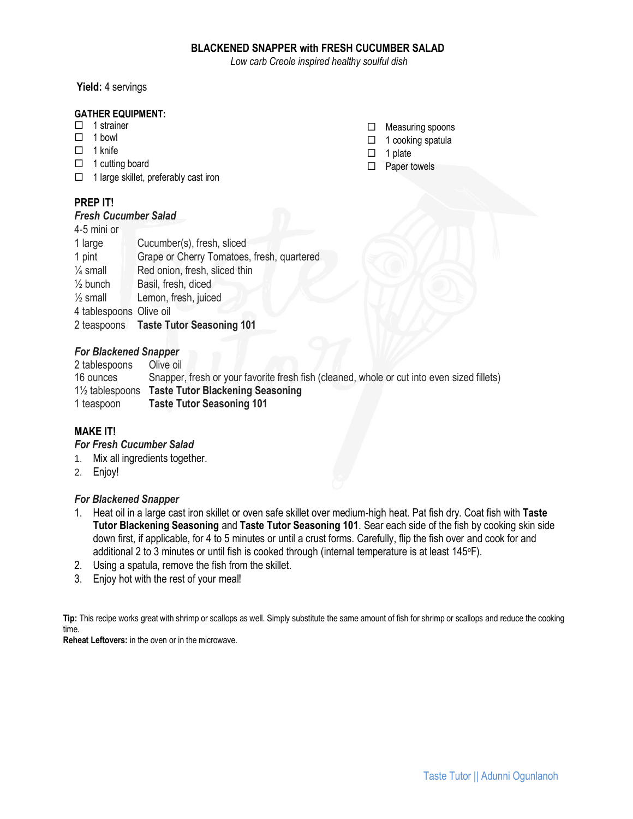### **BLACKENED SNAPPER with FRESH CUCUMBER SALAD**

*Low carb Creole inspired healthy soulful dish*

#### **Yield:** 4 servings

#### **GATHER EQUIPMENT:**

- $\Box$  1 strainer
- $\Box$  1 bowl
- $\Box$  1 knife
- $\Box$  1 cutting board
- $\Box$  1 large skillet, preferably cast iron

## **PREP IT!**

#### *Fresh Cucumber Salad*

| 4-5 mini or             |                                            |
|-------------------------|--------------------------------------------|
| 1 large                 | Cucumber(s), fresh, sliced                 |
| 1 pint                  | Grape or Cherry Tomatoes, fresh, quartered |
| $\frac{1}{4}$ small     | Red onion, fresh, sliced thin              |
| $\frac{1}{2}$ bunch     | Basil, fresh, diced                        |
| $\frac{1}{2}$ small     | Lemon, fresh, juiced                       |
| 4 tablespoons Olive oil |                                            |
|                         | 2 teaspoons Taste Tutor Seasoning 101      |

### *For Blackened Snapper*

2 tablespoons Olive oil 16 ounces Snapper, fresh or your favorite fresh fish (cleaned, whole or cut into even sized fillets) 1½ tablespoons **Taste Tutor Blackening Seasoning** 1 teaspoon **Taste Tutor Seasoning 101**

# **MAKE IT!**

### *For Fresh Cucumber Salad*

- 1. Mix all ingredients together.
- 2. Enjoy!

### *For Blackened Snapper*

- 1. Heat oil in a large cast iron skillet or oven safe skillet over medium-high heat. Pat fish dry. Coat fish with **Taste Tutor Blackening Seasoning** and **Taste Tutor Seasoning 101**. Sear each side of the fish by cooking skin side down first, if applicable, for 4 to 5 minutes or until a crust forms. Carefully, flip the fish over and cook for and additional 2 to 3 minutes or until fish is cooked through (internal temperature is at least 145°F).
- 2. Using a spatula, remove the fish from the skillet.
- 3. Enjoy hot with the rest of your meal!

**Tip:** This recipe works great with shrimp or scallops as well. Simply substitute the same amount of fish for shrimp or scallops and reduce the cooking time.

**Reheat Leftovers:** in the oven or in the microwave.

- $\Box$  Measuring spoons
- $\Box$  1 cooking spatula
- $\Box$  1 plate
- □ Paper towels